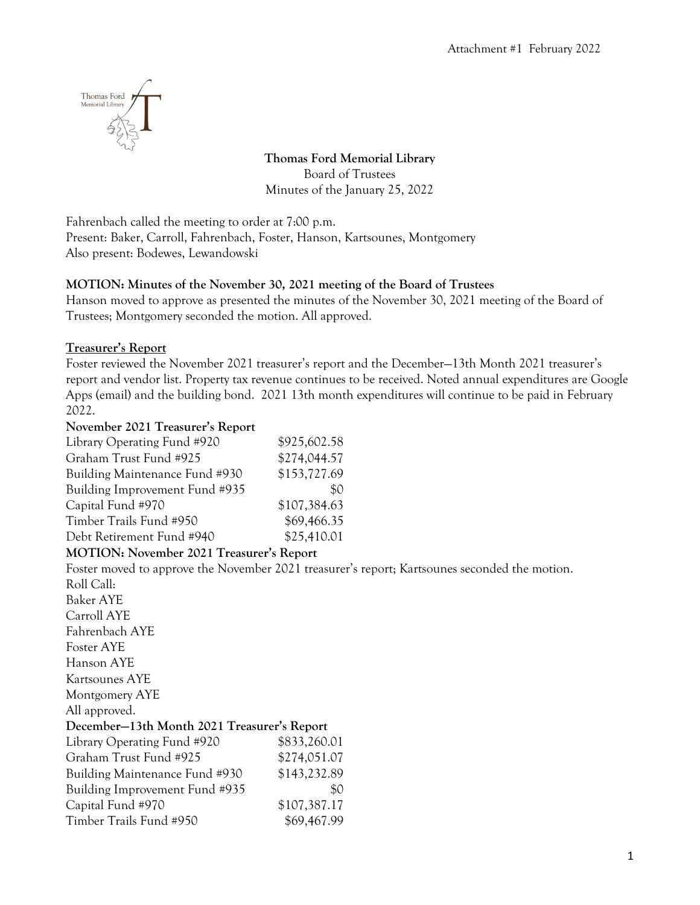

**Thomas Ford Memorial Library** Board of Trustees Minutes of the January 25, 2022

Fahrenbach called the meeting to order at 7:00 p.m. Present: Baker, Carroll, Fahrenbach, Foster, Hanson, Kartsounes, Montgomery Also present: Bodewes, Lewandowski

## **MOTION: Minutes of the November 30, 2021 meeting of the Board of Trustees**

Hanson moved to approve as presented the minutes of the November 30, 2021 meeting of the Board of Trustees; Montgomery seconded the motion. All approved.

### **Treasurer's Report**

Foster reviewed the November 2021 treasurer's report and the December—13th Month 2021 treasurer's report and vendor list. Property tax revenue continues to be received. Noted annual expenditures are Google Apps (email) and the building bond. 2021 13th month expenditures will continue to be paid in February 2022.

### **November 2021 Treasurer's Report**

| Library Operating Fund #920    | \$925,602.58 |
|--------------------------------|--------------|
| Graham Trust Fund #925         | \$274,044.57 |
| Building Maintenance Fund #930 | \$153,727.69 |
| Building Improvement Fund #935 | \$0          |
| Capital Fund #970              | \$107,384.63 |
| Timber Trails Fund #950        | \$69,466.35  |
| Debt Retirement Fund #940      | \$25,410.01  |

# **MOTION: November 2021 Treasurer's Report**

Foster moved to approve the November 2021 treasurer's report; Kartsounes seconded the motion.

| Roll Call:                                  |              |  |
|---------------------------------------------|--------------|--|
| Baker AYE                                   |              |  |
| Carroll AYE                                 |              |  |
| Fahrenbach AYE                              |              |  |
| Foster AYE                                  |              |  |
| Hanson AYE                                  |              |  |
| Kartsounes AYE                              |              |  |
| Montgomery AYE                              |              |  |
| All approved.                               |              |  |
| December-13th Month 2021 Treasurer's Report |              |  |
| Library Operating Fund #920                 | \$833,260.01 |  |
| Graham Trust Fund #925                      | \$274,051.07 |  |
| Building Maintenance Fund #930              | \$143,232.89 |  |
| Building Improvement Fund #935              | \$0          |  |
| Capital Fund #970                           | \$107,387.17 |  |
| Timber Trails Fund #950                     | \$69,467.99  |  |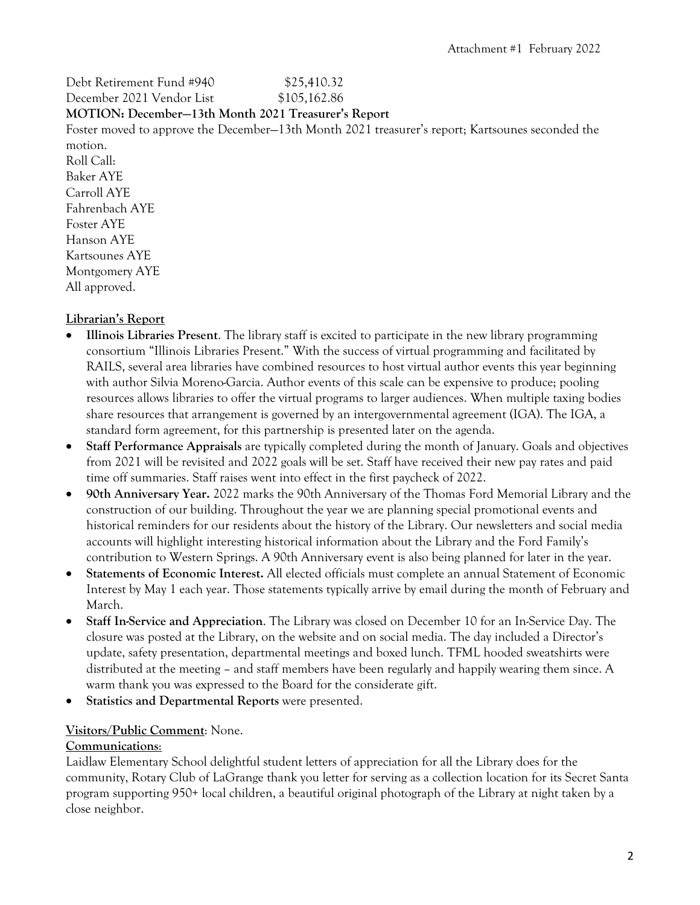Debt Retirement Fund #940 \$25,410.32 December 2021 Vendor List \$105,162.86

### **MOTION: December—13th Month 2021 Treasurer's Report**

Foster moved to approve the December—13th Month 2021 treasurer's report; Kartsounes seconded the motion.

Roll Call: Baker AYE Carroll AYE Fahrenbach AYE Foster AYE Hanson AYE Kartsounes AYE Montgomery AYE All approved.

# **Librarian's Report**

- **Illinois Libraries Present**. The library staff is excited to participate in the new library programming consortium "Illinois Libraries Present." With the success of virtual programming and facilitated by RAILS, several area libraries have combined resources to host virtual author events this year beginning with author Silvia Moreno-Garcia. Author events of this scale can be expensive to produce; pooling resources allows libraries to offer the virtual programs to larger audiences. When multiple taxing bodies share resources that arrangement is governed by an intergovernmental agreement (IGA). The IGA, a standard form agreement, for this partnership is presented later on the agenda.
- **Staff Performance Appraisals** are typically completed during the month of January. Goals and objectives from 2021 will be revisited and 2022 goals will be set. Staff have received their new pay rates and paid time off summaries. Staff raises went into effect in the first paycheck of 2022.
- **90th Anniversary Year.** 2022 marks the 90th Anniversary of the Thomas Ford Memorial Library and the construction of our building. Throughout the year we are planning special promotional events and historical reminders for our residents about the history of the Library. Our newsletters and social media accounts will highlight interesting historical information about the Library and the Ford Family's contribution to Western Springs. A 90th Anniversary event is also being planned for later in the year.
- **Statements of Economic Interest.** All elected officials must complete an annual Statement of Economic Interest by May 1 each year. Those statements typically arrive by email during the month of February and March.
- **Staff In-Service and Appreciation**. The Library was closed on December 10 for an In-Service Day. The closure was posted at the Library, on the website and on social media. The day included a Director's update, safety presentation, departmental meetings and boxed lunch. TFML hooded sweatshirts were distributed at the meeting – and staff members have been regularly and happily wearing them since. A warm thank you was expressed to the Board for the considerate gift.
- **Statistics and Departmental Reports** were presented.

# **Visitors/Public Comment**: None.

### **Communications**:

Laidlaw Elementary School delightful student letters of appreciation for all the Library does for the community, Rotary Club of LaGrange thank you letter for serving as a collection location for its Secret Santa program supporting 950+ local children, a beautiful original photograph of the Library at night taken by a close neighbor.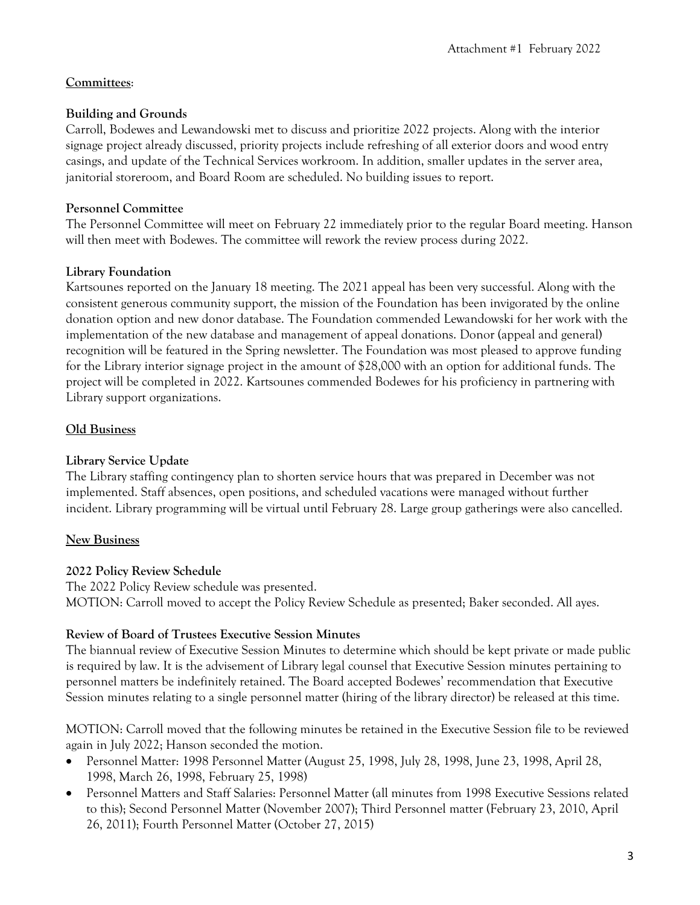# **Committees**:

## **Building and Grounds**

Carroll, Bodewes and Lewandowski met to discuss and prioritize 2022 projects. Along with the interior signage project already discussed, priority projects include refreshing of all exterior doors and wood entry casings, and update of the Technical Services workroom. In addition, smaller updates in the server area, janitorial storeroom, and Board Room are scheduled. No building issues to report.

### **Personnel Committee**

The Personnel Committee will meet on February 22 immediately prior to the regular Board meeting. Hanson will then meet with Bodewes. The committee will rework the review process during 2022.

## **Library Foundation**

Kartsounes reported on the January 18 meeting. The 2021 appeal has been very successful. Along with the consistent generous community support, the mission of the Foundation has been invigorated by the online donation option and new donor database. The Foundation commended Lewandowski for her work with the implementation of the new database and management of appeal donations. Donor (appeal and general) recognition will be featured in the Spring newsletter. The Foundation was most pleased to approve funding for the Library interior signage project in the amount of \$28,000 with an option for additional funds. The project will be completed in 2022. Kartsounes commended Bodewes for his proficiency in partnering with Library support organizations.

## **Old Business**

### **Library Service Update**

The Library staffing contingency plan to shorten service hours that was prepared in December was not implemented. Staff absences, open positions, and scheduled vacations were managed without further incident. Library programming will be virtual until February 28. Large group gatherings were also cancelled.

# **New Business**

### **2022 Policy Review Schedule**

The 2022 Policy Review schedule was presented. MOTION: Carroll moved to accept the Policy Review Schedule as presented; Baker seconded. All ayes.

### **Review of Board of Trustees Executive Session Minutes**

The biannual review of Executive Session Minutes to determine which should be kept private or made public is required by law. It is the advisement of Library legal counsel that Executive Session minutes pertaining to personnel matters be indefinitely retained. The Board accepted Bodewes' recommendation that Executive Session minutes relating to a single personnel matter (hiring of the library director) be released at this time.

MOTION: Carroll moved that the following minutes be retained in the Executive Session file to be reviewed again in July 2022; Hanson seconded the motion.

- Personnel Matter: 1998 Personnel Matter (August 25, 1998, July 28, 1998, June 23, 1998, April 28, 1998, March 26, 1998, February 25, 1998)
- Personnel Matters and Staff Salaries: Personnel Matter (all minutes from 1998 Executive Sessions related to this); Second Personnel Matter (November 2007); Third Personnel matter (February 23, 2010, April 26, 2011); Fourth Personnel Matter (October 27, 2015)